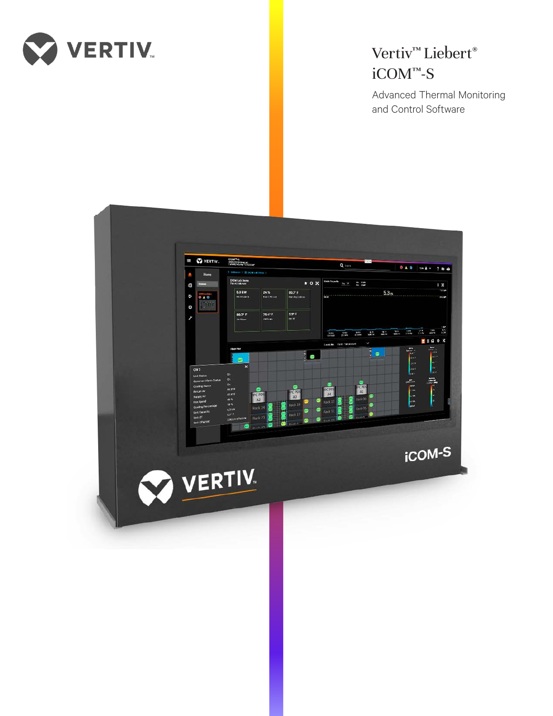

# Vertiv<sup>™</sup> Liebert® iCOM™-S

Advanced Thermal Monitoring and Control Software

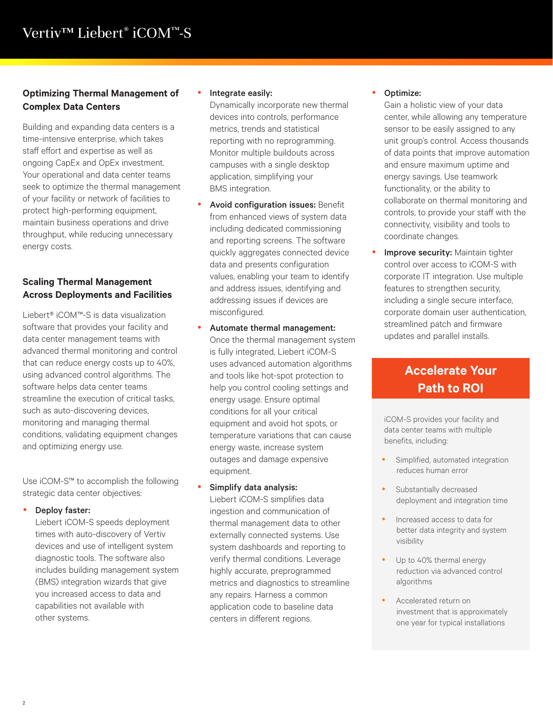### **Optimizing Thermal Management of Complex Data Centers**

Building and expanding data centers is a time-intensive enterprise, which takes staff effort and expertise as well as ongoing CapEx and OpEx investment. Your operational and data center teams seek to optimize the thermal management of your facility or network of facilities to protect high-performing equipment, maintain business operations and drive throughput, while reducing unnecessary energy costs.

## **Scaling Thermal Management Across Deployments and Facilities**

Liebert® iCOM™-S is data visualization software that provides your facility and data center management teams with advanced thermal monitoring and control that can reduce energy costs up to 40%, using advanced control algorithms. The software helps data center teams streamline the execution of critical tasks, such as auto-discovering devices, monitoring and managing thermal conditions, validating equipment changes and optimizing energy use.

Use iCOM-S™ to accomplish the following strategic data center objectives:

Deploy faster:

Liebert iCOM-S speeds deployment times with auto-discovery of Vertiv devices and use of intelligent system diagnostic tools. The software also includes building management system (BMS) integration wizards that give you increased access to data and capabilities not available with other systems.

#### Integrate easily:

Dynamically incorporate new thermal devices into controls, performance metrics, trends and statistical reporting with no reprogramming. Monitor multiple buildouts across campuses with a single desktop application, simplifying your BMS integration.

- Avoid configuration issues: Benefit from enhanced views of system data including dedicated commissioning and reporting screens. The software quickly aggregates connected device data and presents configuration values, enabling your team to identify and address issues, identifying and addressing issues if devices are misconfigured.
- Automate thermal management: Once the thermal management system is fully integrated, Liebert iCOM-S uses advanced automation algorithms and tools like hot-spot protection to help you control cooling settings and energy usage. Ensure optimal conditions for all your critical equipment and avoid hot spots, or temperature variations that can cause energy waste, increase system outages and damage expensive equipment.
- Simplify data analysis:

Liebert iCOM-S simplifies data ingestion and communication of thermal management data to other externally connected systems. Use system dashboards and reporting to verify thermal conditions. Leverage highly accurate, preprogrammed metrics and diagnostics to streamline any repairs. Harness a common application code to baseline data centers in different regions.

#### Optimize:

Gain a holistic view of your data center, while allowing any temperature sensor to be easily assigned to any unit group's control. Access thousands of data points that improve automation and ensure maximum uptime and energy savings. Use teamwork functionality, or the ability to collaborate on thermal monitoring and controls, to provide your staff with the connectivity, visibility and tools to coordinate changes.

**• Improve security:** Maintain tighter control over access to iCOM-S with corporate IT integration. Use multiple features to strengthen security, including a single secure interface, corporate domain user authentication, streamlined patch and firmware updates and parallel installs.

# **Accelerate Your Path to ROI**

iCOM-S provides your facility and data center teams with multiple benefits, including:

- Simplified, automated integration reduces human error
- Substantially decreased deployment and integration time
- Increased access to data for better data integrity and system visibility
- Up to 40% thermal energy reduction via advanced control algorithms
- Accelerated return on investment that is approximately one year for typical installations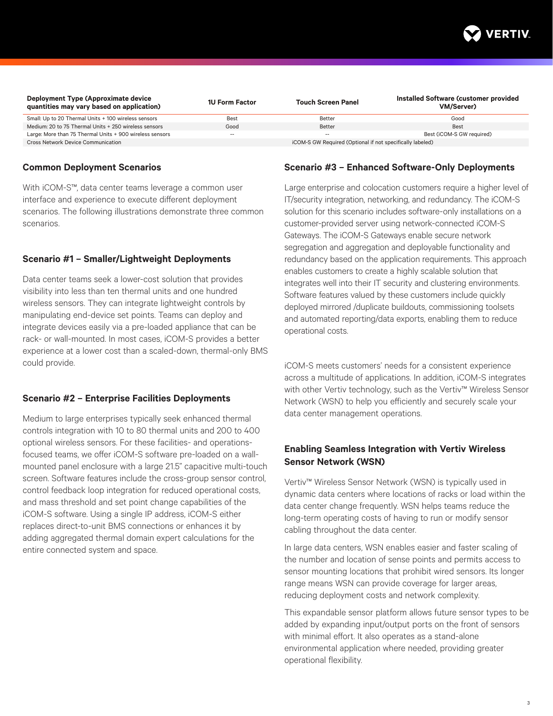

| Deployment Type (Approximate device<br>quantities may vary based on application) | <b>1U Form Factor</b> | <b>Touch Screen Panel</b>                                 | Installed Software (customer provided<br>VM/Server) |
|----------------------------------------------------------------------------------|-----------------------|-----------------------------------------------------------|-----------------------------------------------------|
| Small: Up to 20 Thermal Units + 100 wireless sensors                             | Best                  | Better                                                    | Good                                                |
| Medium: 20 to 75 Thermal Units + 250 wireless sensors                            | Good                  | Better                                                    | Best                                                |
| Large: More than 75 Thermal Units + 900 wireless sensors                         | $\sim$                | $\sim$ $-$                                                | Best (iCOM-S GW reauired)                           |
| <b>Cross Network Device Communication</b>                                        |                       | iCOM-S GW Required (Optional if not specifically labeled) |                                                     |

#### **Common Deployment Scenarios**

With iCOM-S™, data center teams leverage a common user interface and experience to execute different deployment scenarios. The following illustrations demonstrate three common scenarios.

#### **Scenario #1 – Smaller/Lightweight Deployments**

Data center teams seek a lower-cost solution that provides visibility into less than ten thermal units and one hundred wireless sensors. They can integrate lightweight controls by manipulating end-device set points. Teams can deploy and integrate devices easily via a pre-loaded appliance that can be rack- or wall-mounted. In most cases, iCOM-S provides a better experience at a lower cost than a scaled-down, thermal-only BMS could provide.

#### **Scenario #2 – Enterprise Facilities Deployments**

Medium to large enterprises typically seek enhanced thermal controls integration with 10 to 80 thermal units and 200 to 400 optional wireless sensors. For these facilities- and operationsfocused teams, we offer iCOM-S software pre-loaded on a wallmounted panel enclosure with a large 21.5" capacitive multi-touch screen. Software features include the cross-group sensor control, control feedback loop integration for reduced operational costs, and mass threshold and set point change capabilities of the iCOM-S software. Using a single IP address, iCOM-S either replaces direct-to-unit BMS connections or enhances it by adding aggregated thermal domain expert calculations for the entire connected system and space.

#### **Scenario #3 – Enhanced Software-Only Deployments**

Large enterprise and colocation customers require a higher level of IT/security integration, networking, and redundancy. The iCOM-S solution for this scenario includes software-only installations on a customer-provided server using network-connected iCOM-S Gateways. The iCOM-S Gateways enable secure network segregation and aggregation and deployable functionality and redundancy based on the application requirements. This approach enables customers to create a highly scalable solution that integrates well into their IT security and clustering environments. Software features valued by these customers include quickly deployed mirrored /duplicate buildouts, commissioning toolsets and automated reporting/data exports, enabling them to reduce operational costs.

iCOM-S meets customers' needs for a consistent experience across a multitude of applications. In addition, iCOM-S integrates with other Vertiv technology, such as the Vertiv™ Wireless Sensor Network (WSN) to help you efficiently and securely scale your data center management operations.

#### **Enabling Seamless Integration with Vertiv Wireless Sensor Network (WSN)**

Vertiv™ Wireless Sensor Network (WSN) is typically used in dynamic data centers where locations of racks or load within the data center change frequently. WSN helps teams reduce the long-term operating costs of having to run or modify sensor cabling throughout the data center.

In large data centers, WSN enables easier and faster scaling of the number and location of sense points and permits access to sensor mounting locations that prohibit wired sensors. Its longer range means WSN can provide coverage for larger areas, reducing deployment costs and network complexity.

This expandable sensor platform allows future sensor types to be added by expanding input/output ports on the front of sensors with minimal effort. It also operates as a stand-alone environmental application where needed, providing greater operational flexibility.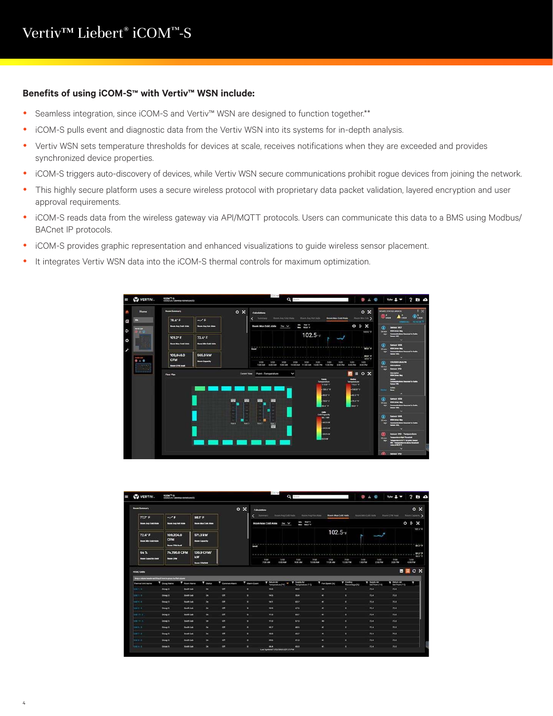#### **Benefits of using iCOM-S™ with Vertiv™ WSN include:**

- Seamless integration, since iCOM-S and Vertiv™ WSN are designed to function together.\*\*
- iCOM-S pulls event and diagnostic data from the Vertiv WSN into its systems for in-depth analysis.
- Vertiv WSN sets temperature thresholds for devices at scale, receives notifications when they are exceeded and provides synchronized device properties.
- iCOM-S triggers auto-discovery of devices, while Vertiv WSN secure communications prohibit rogue devices from joining the network.
- This highly secure platform uses a secure wireless protocol with proprietary data packet validation, layered encryption and user approval requirements.
- iCOM-S reads data from the wireless gateway via API/MQTT protocols. Users can communicate this data to a BMS using Modbus/ BACnet IP protocols.
- iCOM-S provides graphic representation and enhanced visualizations to guide wireless sensor placement.
- It integrates Vertiv WSN data into the iCOM-S thermal controls for maximum optimization.



| <b>Room Summary</b>                             |                |                                                                                |                   | $\circ x$<br>Calculations               |                |           |               |                                           |                        |                                    |                         |                             |                             | $\circ x$          |                 |                                       |                           |
|-------------------------------------------------|----------------|--------------------------------------------------------------------------------|-------------------|-----------------------------------------|----------------|-----------|---------------|-------------------------------------------|------------------------|------------------------------------|-------------------------|-----------------------------|-----------------------------|--------------------|-----------------|---------------------------------------|---------------------------|
| $77.7^{\circ}$ F                                |                | ALC: N                                                                         |                   | $98.1^{\circ} F$                        |                |           | Summary       |                                           | Room Ave Cold Ander    |                                    | Report Aug Hot Aide     | <b>Hoove Max Cold Atale</b> |                             | Room Mrs Cold Anda |                 | <b>Boon CFM Aust</b>                  | <b>Burn Capacity &gt;</b> |
| <b>Room Avg Coat Alsie</b>                      |                | <b>Room Avg Hot Able</b>                                                       |                   | <b>Broom Max Cold Alale</b>             |                |           |               | Room Max Cold Atsle                       | $0w \sqrt{ }$          | 70419<br><b>May</b><br>Max 902518  |                         |                             |                             |                    |                 |                                       | O E X                     |
| $72.4^{\circ}$ F<br><b>Shoom Min Cold Albin</b> |                | 109,204.0<br><b>CFM</b><br><b>Boon CITM Awalk</b>                              |                   | <b>571.3 kW</b><br><b>Room Capacity</b> |                |           | <b>Code</b>   |                                           |                        |                                    |                         | $102.5 - F$                 |                             |                    |                 |                                       | 102.518<br>60.0 - 8       |
| 64%                                             |                | 74,796,0 CFM                                                                   |                   | 130.9 CFM/<br>kw                        |                |           |               |                                           |                        |                                    |                         |                             |                             |                    |                 | 60.078<br>60.0 1                      |                           |
| <b>Boon Capacity Used</b>                       |                | <b>Boon CFM</b>                                                                |                   | <b>Boon CFMAW</b>                       |                |           |               | 7/72<br>7:00 AM                           | 7/22<br><b>RIDO AM</b> | 7/22<br>9:00 AM                    | 7/77<br><b>10:00 AM</b> | 7/22<br>11:00 AM            | 7/22<br>12:00 PM            | 7/22<br>100 PM     | 7/22<br>2:00 PM | $n\overline{n}$<br>3.00 PM            | 7/22<br>4.00 PM           |
|                                                 |                |                                                                                |                   |                                         |                |           |               |                                           |                        |                                    |                         |                             |                             |                    |                 |                                       | $B \equiv C X$            |
| <b>HVAC UMS</b><br>Thermal Unit Name            |                | Drug in column Needer wed shop it have to group by that column<br>T Oroup Name | T doort forme     | T state                                 | T Common Alarm |           | T Alarm Count | <b>W. Refunn Air</b><br>Temperature (* F) |                        | T linggily Air<br>Temperature (1F) |                         | T. Fan Speed (N)            | T Cooling<br>Percentage (%) |                    | T lineply Air   | <b>T</b> Reform Air<br>Sat Point (19) | ı                         |
| $10011 - 5$                                     | Oroup 5        |                                                                                | Ticketh Lab       | CH                                      | om             | ٠         |               | 95.0                                      |                        | 63.0                               | $\bullet$               |                             | ×.                          |                    | 73.4            | 73.0                                  |                           |
| $0.41 - 3$                                      | <b>Droup 3</b> |                                                                                | <b>South Lab</b>  | On.                                     | on             | o.        |               | 94.5                                      |                        | 55.4                               | m                       |                             | ٠                           |                    | 73.4            | 73.0                                  |                           |
| $(100.9-1)$                                     | <b>Group 3</b> |                                                                                | <b>South Lab</b>  | On                                      | OFF            | $\bullet$ |               | 94.1                                      |                        | 83.7                               | m                       |                             | ۰                           |                    | 73.6            | 73.0                                  |                           |
| $unkA-1$                                        | <b>Group 5</b> |                                                                                | South Lab         | <b>On</b>                               | <b>DR</b>      | $\bullet$ |               | 93.9                                      |                        | 67.5                               | $\bullet$               |                             | $\bullet$                   |                    | 73.4            | 73.5                                  |                           |
| 0.011117                                        | Group 3        |                                                                                | South Lab         | On.                                     | CHT            | $\bullet$ |               | 91.0                                      |                        | 63.7                               | $\bullet$               |                             | $\circ$                     |                    | 73.4            | 73.0                                  |                           |
| <b>UNITY-ST</b>                                 | Group 5        |                                                                                | South Lab         | o <sub>n</sub>                          | on             | $\bullet$ |               | 91.0                                      |                        | 47.5                               | $\bullet$               |                             | ×                           |                    | 73.4.           | 73.81                                 |                           |
| $1485 - 3$                                      |                | Group 3                                                                        | South Lab         | <b>OK</b>                               | <b>CHT</b>     | $\bullet$ |               | 90.7                                      |                        | 88.5                               | $\mathbf{r}$            |                             | $\bullet$                   |                    | 73.4.           | 73.0                                  |                           |
| 1948'7-'5                                       | Crove 5        |                                                                                | <b>South Lab</b>  | <b>Ch</b>                               | $\alpha$       | $\bullet$ |               | 40.0                                      |                        | 65.7                               | $\mathbf{a}$            |                             | $\bullet$                   |                    | 73.4            | 73.0'                                 |                           |
| Dutch 3                                         | Orougi 5       |                                                                                | <b>Timoth Lab</b> | <b>ON</b>                               | œ              | $\bullet$ |               | 85.6                                      |                        | 41.0                               |                         | <b>ALC</b>                  | $\bullet$                   |                    | 73.4            | 23.0                                  |                           |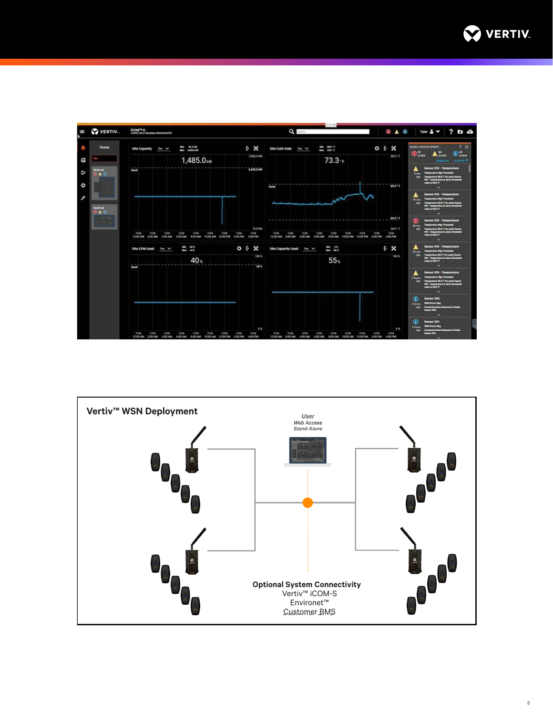